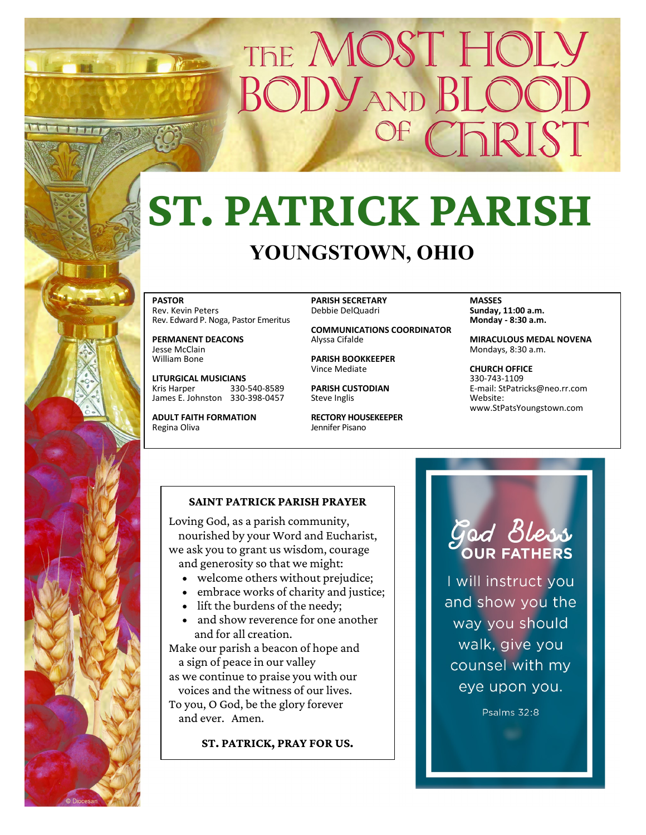## THE MOST HOL **SODYAND BL** CFRIST

## **ST. PATRICK PARISH YOUNGSTOWN, OHIO**

**PASTOR** Rev. Kevin Peters Rev. Edward P. Noga, Pastor Emeritus

**PERMANENT DEACONS** Jesse McClain William Bone

**LITURGICAL MUSICIANS** Kris Harper 330-540-8589 James E. Johnston 330-398-0457

**ADULT FAITH FORMATION** Regina Oliva

**PARISH SECRETARY** Debbie DelQuadri

**COMMUNICATIONS COORDINATOR** Alyssa Cifalde

**PARISH BOOKKEEPER** Vince Mediate

**PARISH CUSTODIAN** Steve Inglis

**RECTORY HOUSEKEEPER** Jennifer Pisano

**MASSES Sunday, 11:00 a.m. Monday - 8:30 a.m.** 

**MIRACULOUS MEDAL NOVENA** Mondays, 8:30 a.m.

**CHURCH OFFICE** 330-743-1109 E-mail: StPatricks@neo.rr.com Website: www.StPatsYoungstown.com

### **SAINT PATRICK PARISH PRAYER**

Loving God, as a parish community, nourished by your Word and Eucharist, we ask you to grant us wisdom, courage and generosity so that we might:

- welcome others without prejudice;
- embrace works of charity and justice;
- lift the burdens of the needy;
- and show reverence for one another and for all creation.

Make our parish a beacon of hope and a sign of peace in our valley as we continue to praise you with our voices and the witness of our lives. To you, O God, be the glory forever and ever. Amen.

**ST. PATRICK, PRAY FOR US.**

# God Bless

I will instruct you and show you the way you should walk, give you counsel with my eye upon you.

Psalms 32:8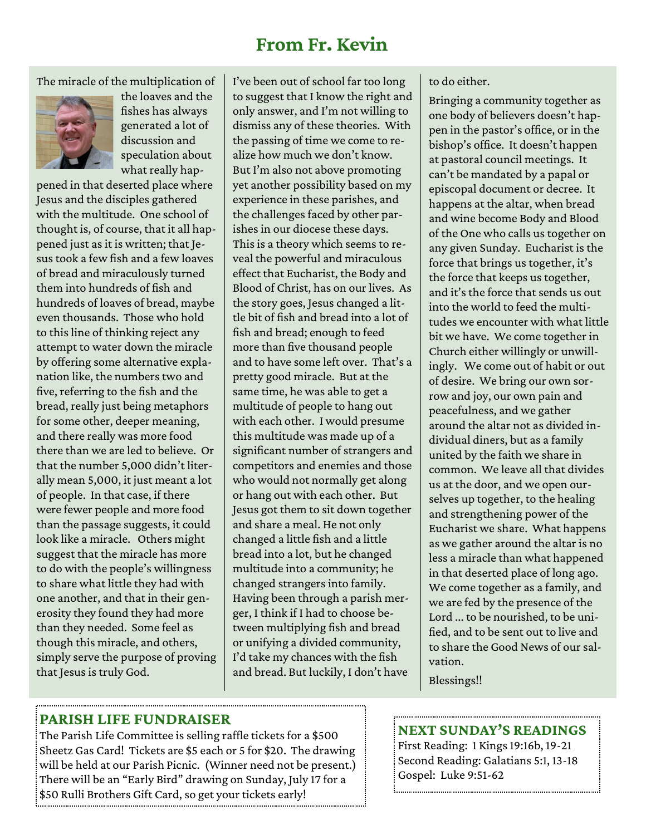## **From Fr. Kevin**

The miracle of the multiplication of



the loaves and the fishes has always generated a lot of discussion and speculation about what really hap-

pened in that deserted place where Jesus and the disciples gathered with the multitude. One school of thought is, of course, that it all happened just as it is written; that Jesus took a few fish and a few loaves of bread and miraculously turned them into hundreds of fish and hundreds of loaves of bread, maybe even thousands. Those who hold to this line of thinking reject any attempt to water down the miracle by offering some alternative explanation like, the numbers two and five, referring to the fish and the bread, really just being metaphors for some other, deeper meaning, and there really was more food there than we are led to believe. Or that the number 5,000 didn't literally mean 5,000, it just meant a lot of people. In that case, if there were fewer people and more food than the passage suggests, it could look like a miracle. Others might suggest that the miracle has more to do with the people's willingness to share what little they had with one another, and that in their generosity they found they had more than they needed. Some feel as though this miracle, and others, simply serve the purpose of proving that Jesus is truly God.

I've been out of school far too long to suggest that I know the right and only answer, and I'm not willing to dismiss any of these theories. With the passing of time we come to realize how much we don't know. But I'm also not above promoting yet another possibility based on my experience in these parishes, and the challenges faced by other parishes in our diocese these days. This is a theory which seems to reveal the powerful and miraculous effect that Eucharist, the Body and Blood of Christ, has on our lives. As the story goes, Jesus changed a little bit of fish and bread into a lot of fish and bread; enough to feed more than five thousand people and to have some left over. That's a pretty good miracle. But at the same time, he was able to get a multitude of people to hang out with each other. I would presume this multitude was made up of a significant number of strangers and competitors and enemies and those who would not normally get along or hang out with each other. But Jesus got them to sit down together and share a meal. He not only changed a little fish and a little bread into a lot, but he changed multitude into a community; he changed strangers into family. Having been through a parish merger, I think if I had to choose between multiplying fish and bread or unifying a divided community, I'd take my chances with the fish and bread. But luckily, I don't have

### to do either.

Bringing a community together as one body of believers doesn't happen in the pastor's office, or in the bishop's office. It doesn't happen at pastoral council meetings. It can't be mandated by a papal or episcopal document or decree. It happens at the altar, when bread and wine become Body and Blood of the One who calls us together on any given Sunday. Eucharist is the force that brings us together, it's the force that keeps us together, and it's the force that sends us out into the world to feed the multitudes we encounter with what little bit we have. We come together in Church either willingly or unwillingly. We come out of habit or out of desire. We bring our own sorrow and joy, our own pain and peacefulness, and we gather around the altar not as divided individual diners, but as a family united by the faith we share in common. We leave all that divides us at the door, and we open ourselves up together, to the healing and strengthening power of the Eucharist we share. What happens as we gather around the altar is no less a miracle than what happened in that deserted place of long ago. We come together as a family, and we are fed by the presence of the Lord ... to be nourished, to be unified, and to be sent out to live and to share the Good News of our salvation.

Blessings!!

## **PARISH LIFE FUNDRAISER**

The Parish Life Committee is selling raffle tickets for a \$500 Sheetz Gas Card! Tickets are \$5 each or 5 for \$20. The drawing will be held at our Parish Picnic. (Winner need not be present.) There will be an "Early Bird" drawing on Sunday, July 17 for a \$50 Rulli Brothers Gift Card, so get your tickets early!

## **NEXT SUNDAY'S READINGS**

First Reading: 1 Kings 19:16b, 19-21 Second Reading: Galatians 5:1, 13-18 Gospel: Luke 9:51-62